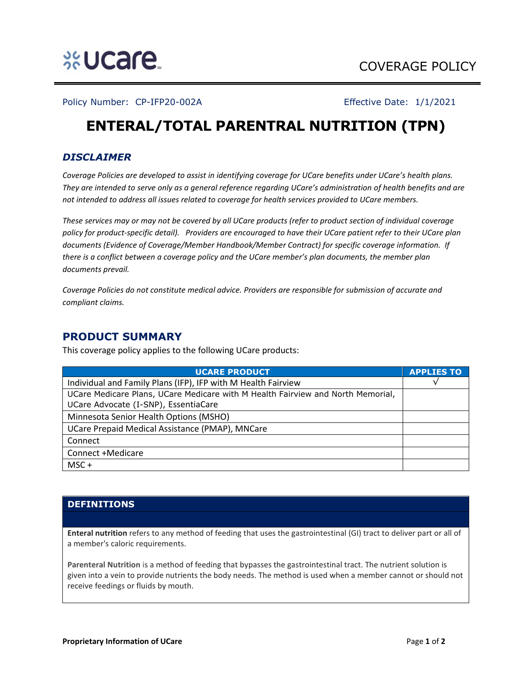

Policy Number: CP-IFP20-002A Effective Date: 1/1/2021

# **ENTERAL/TOTAL PARENTRAL NUTRITION (TPN)**

## *DISCLAIMER*

*Coverage Policies are developed to assist in identifying coverage for UCare benefits under UCare's health plans. They are intended to serve only as a general reference regarding UCare's administration of health benefits and are not intended to address all issues related to coverage for health services provided to UCare members.*

*These services may or may not be covered by all UCare products (refer to product section of individual coverage policy for product-specific detail). Providers are encouraged to have their UCare patient refer to their UCare plan documents (Evidence of Coverage/Member Handbook/Member Contract) for specific coverage information. If there is a conflict between a coverage policy and the UCare member's plan documents, the member plan documents prevail.* 

*Coverage Policies do not constitute medical advice. Providers are responsible for submission of accurate and compliant claims.* 

## **PRODUCT SUMMARY**

This coverage policy applies to the following UCare products:

| <b>UCARE PRODUCT</b>                                                            | <b>APPLIES TO</b> |
|---------------------------------------------------------------------------------|-------------------|
| Individual and Family Plans (IFP), IFP with M Health Fairview                   |                   |
| UCare Medicare Plans, UCare Medicare with M Health Fairview and North Memorial, |                   |
| UCare Advocate (I-SNP), EssentiaCare                                            |                   |
| Minnesota Senior Health Options (MSHO)                                          |                   |
| UCare Prepaid Medical Assistance (PMAP), MNCare                                 |                   |
| Connect                                                                         |                   |
| Connect +Medicare                                                               |                   |
| $MSC +$                                                                         |                   |

### **DEFINITIONS**

**Enteral nutrition** refers to any method of feeding that uses the gastrointestinal (GI) tract to deliver part or all of a member's caloric requirements.

**Parenteral Nutrition** is a method of feeding that bypasses the gastrointestinal tract. The nutrient solution is given into a vein to provide nutrients the body needs. The method is used when a member cannot or should not receive feedings or fluids by mouth.